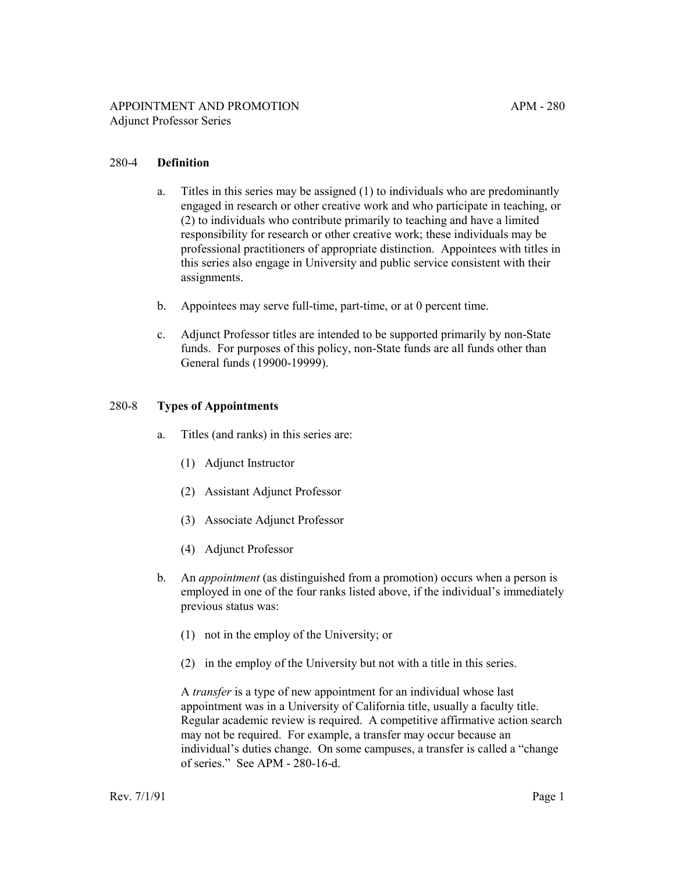- a. Titles in this series may be assigned (1) to individuals who are predominantly engaged in research or other creative work and who participate in teaching, or (2) to individuals who contribute primarily to teaching and have a limited responsibility for research or other creative work; these individuals may be professional practitioners of appropriate distinction. Appointees with titles in this series also engage in University and public service consistent with their assignments.
- b. Appointees may serve full-time, part-time, or at 0 percent time.
- c. Adjunct Professor titles are intended to be supported primarily by non-State funds. For purposes of this policy, non-State funds are all funds other than General funds (19900-19999).

#### 280-8 **Types of Appointments**

- a. Titles (and ranks) in this series are:
	- (1) Adjunct Instructor
	- (2) Assistant Adjunct Professor
	- (3) Associate Adjunct Professor
	- (4) Adjunct Professor
- b. An *appointment* (as distinguished from a promotion) occurs when a person is employed in one of the four ranks listed above, if the individual's immediately previous status was:
	- (1) not in the employ of the University; or
	- (2) in the employ of the University but not with a title in this series.

A *transfer* is a type of new appointment for an individual whose last appointment was in a University of California title, usually a faculty title. Regular academic review is required. A competitive affirmative action search may not be required. For example, a transfer may occur because an individual's duties change. On some campuses, a transfer is called a "change of series." See APM - 280-16-d.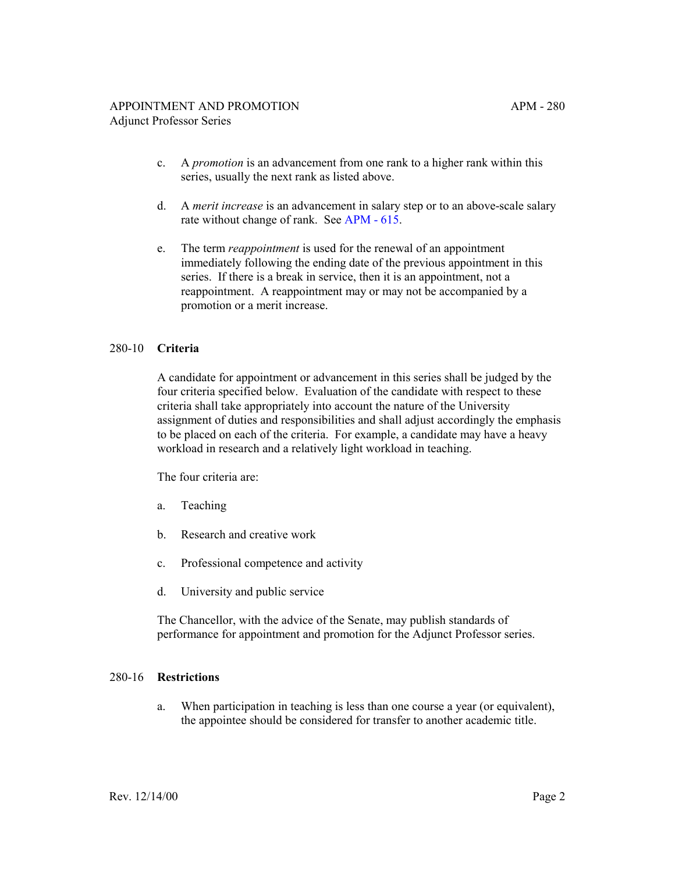- c. A *promotion* is an advancement from one rank to a higher rank within this series, usually the next rank as listed above.
- d. A *merit increase* is an advancement in salary step or to an above-scale salary rate without change of rank. See [APM - 615](http://ucop.edu/academic-personnel-programs/_files/apm/apm-615.pdf).
- e. The term *reappointment* is used for the renewal of an appointment immediately following the ending date of the previous appointment in this series. If there is a break in service, then it is an appointment, not a reappointment. A reappointment may or may not be accompanied by a promotion or a merit increase.

#### 280-10 **Criteria**

A candidate for appointment or advancement in this series shall be judged by the four criteria specified below. Evaluation of the candidate with respect to these criteria shall take appropriately into account the nature of the University assignment of duties and responsibilities and shall adjust accordingly the emphasis to be placed on each of the criteria. For example, a candidate may have a heavy workload in research and a relatively light workload in teaching.

The four criteria are:

- a. Teaching
- b. Research and creative work
- c. Professional competence and activity
- d. University and public service

The Chancellor, with the advice of the Senate, may publish standards of performance for appointment and promotion for the Adjunct Professor series.

#### 280-16 **Restrictions**

a. When participation in teaching is less than one course a year (or equivalent), the appointee should be considered for transfer to another academic title.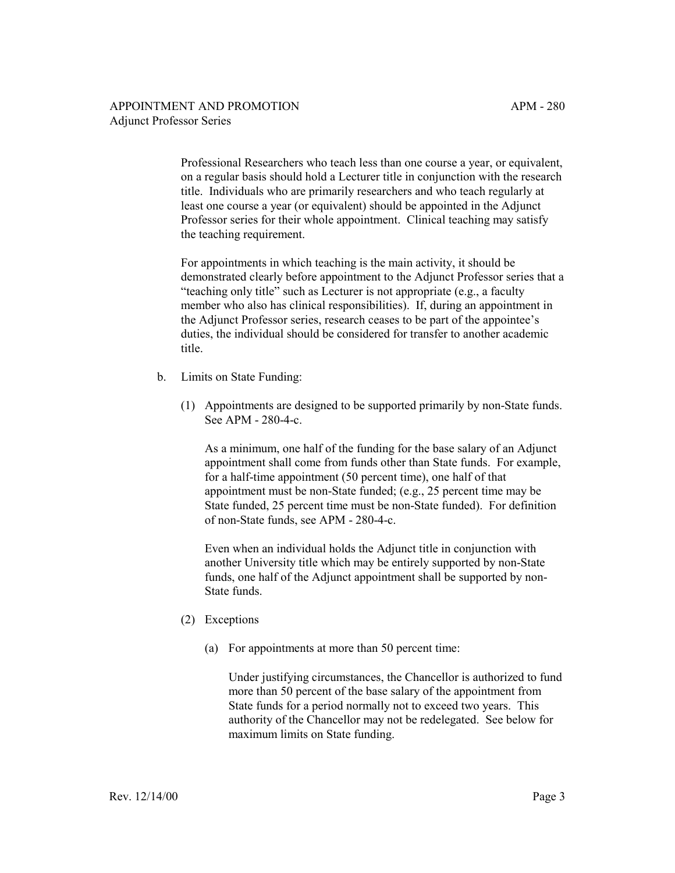Professional Researchers who teach less than one course a year, or equivalent, on a regular basis should hold a Lecturer title in conjunction with the research title. Individuals who are primarily researchers and who teach regularly at least one course a year (or equivalent) should be appointed in the Adjunct Professor series for their whole appointment. Clinical teaching may satisfy the teaching requirement.

For appointments in which teaching is the main activity, it should be demonstrated clearly before appointment to the Adjunct Professor series that a "teaching only title" such as Lecturer is not appropriate (e.g., a faculty member who also has clinical responsibilities). If, during an appointment in the Adjunct Professor series, research ceases to be part of the appointee's duties, the individual should be considered for transfer to another academic title.

- b. Limits on State Funding:
	- (1) Appointments are designed to be supported primarily by non-State funds. See APM - 280-4-c.

As a minimum, one half of the funding for the base salary of an Adjunct appointment shall come from funds other than State funds. For example, for a half-time appointment (50 percent time), one half of that appointment must be non-State funded; (e.g., 25 percent time may be State funded, 25 percent time must be non-State funded). For definition of non-State funds, see APM - 280-4-c.

Even when an individual holds the Adjunct title in conjunction with another University title which may be entirely supported by non-State funds, one half of the Adjunct appointment shall be supported by non-State funds.

- (2) Exceptions
	- (a) For appointments at more than 50 percent time:

Under justifying circumstances, the Chancellor is authorized to fund more than 50 percent of the base salary of the appointment from State funds for a period normally not to exceed two years. This authority of the Chancellor may not be redelegated. See below for maximum limits on State funding.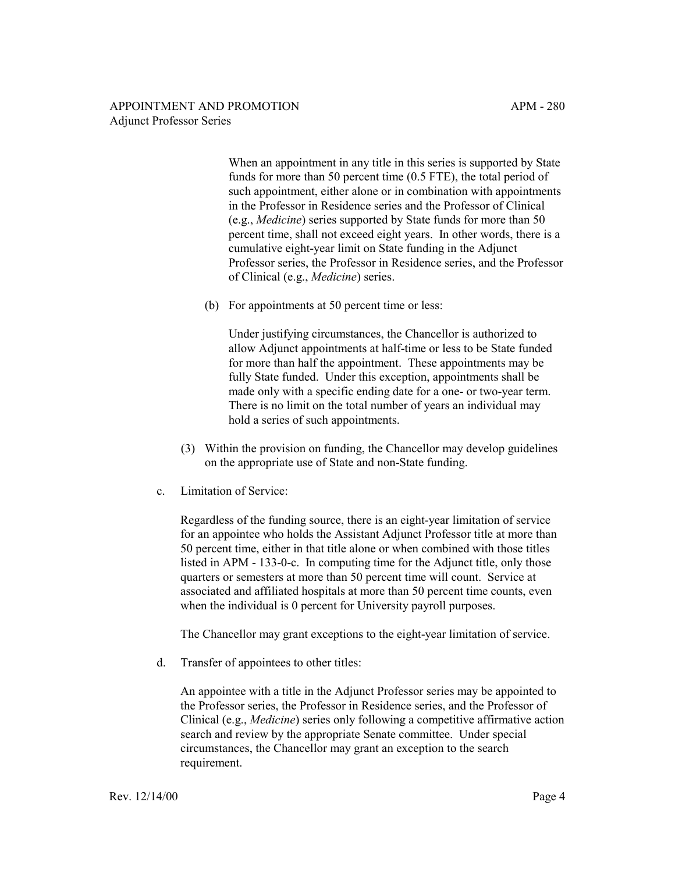When an appointment in any title in this series is supported by State funds for more than 50 percent time (0.5 FTE), the total period of such appointment, either alone or in combination with appointments in the Professor in Residence series and the Professor of Clinical (e.g., *Medicine*) series supported by State funds for more than 50 percent time, shall not exceed eight years. In other words, there is a cumulative eight-year limit on State funding in the Adjunct Professor series, the Professor in Residence series, and the Professor of Clinical (e.g., *Medicine*) series.

(b) For appointments at 50 percent time or less:

Under justifying circumstances, the Chancellor is authorized to allow Adjunct appointments at half-time or less to be State funded for more than half the appointment. These appointments may be fully State funded. Under this exception, appointments shall be made only with a specific ending date for a one- or two-year term. There is no limit on the total number of years an individual may hold a series of such appointments.

- (3) Within the provision on funding, the Chancellor may develop guidelines on the appropriate use of State and non-State funding.
- c. Limitation of Service:

Regardless of the funding source, there is an eight-year limitation of service for an appointee who holds the Assistant Adjunct Professor title at more than 50 percent time, either in that title alone or when combined with those titles listed in APM - 133-0-c. In computing time for the Adjunct title, only those quarters or semesters at more than 50 percent time will count. Service at associated and affiliated hospitals at more than 50 percent time counts, even when the individual is 0 percent for University payroll purposes.

The Chancellor may grant exceptions to the eight-year limitation of service.

d. Transfer of appointees to other titles:

An appointee with a title in the Adjunct Professor series may be appointed to the Professor series, the Professor in Residence series, and the Professor of Clinical (e.g., *Medicine*) series only following a competitive affirmative action search and review by the appropriate Senate committee. Under special circumstances, the Chancellor may grant an exception to the search requirement.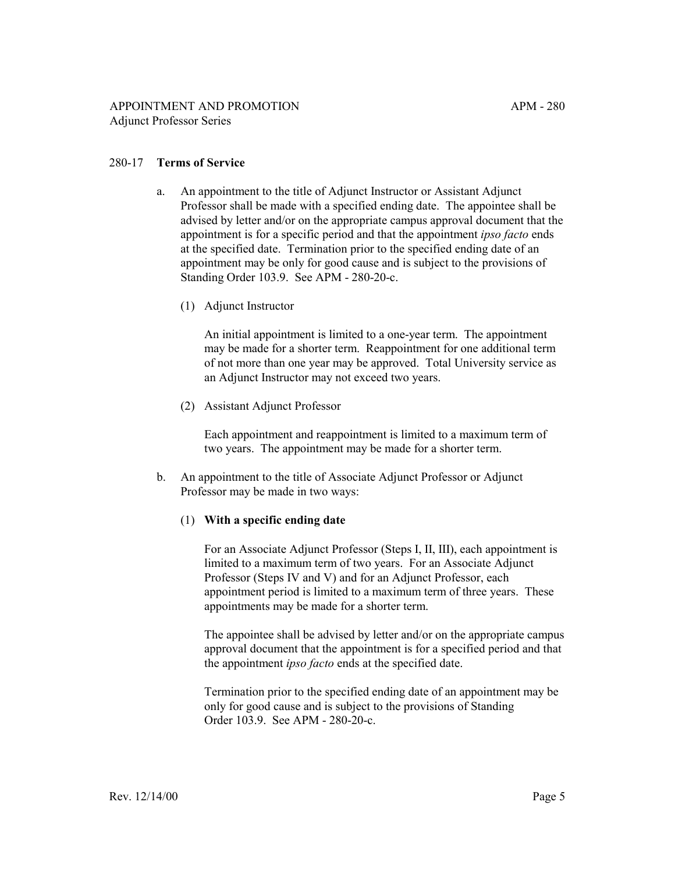## 280-17 **Terms of Service**

- a. An appointment to the title of Adjunct Instructor or Assistant Adjunct Professor shall be made with a specified ending date. The appointee shall be advised by letter and/or on the appropriate campus approval document that the appointment is for a specific period and that the appointment *ipso facto* ends at the specified date. Termination prior to the specified ending date of an appointment may be only for good cause and is subject to the provisions of Standing Order 103.9. See APM - 280-20-c.
	- (1) Adjunct Instructor

An initial appointment is limited to a one-year term. The appointment may be made for a shorter term. Reappointment for one additional term of not more than one year may be approved. Total University service as an Adjunct Instructor may not exceed two years.

(2) Assistant Adjunct Professor

Each appointment and reappointment is limited to a maximum term of two years. The appointment may be made for a shorter term.

b. An appointment to the title of Associate Adjunct Professor or Adjunct Professor may be made in two ways:

## (1) **With a specific ending date**

For an Associate Adjunct Professor (Steps I, II, III), each appointment is limited to a maximum term of two years. For an Associate Adjunct Professor (Steps IV and V) and for an Adjunct Professor, each appointment period is limited to a maximum term of three years. These appointments may be made for a shorter term.

The appointee shall be advised by letter and/or on the appropriate campus approval document that the appointment is for a specified period and that the appointment *ipso facto* ends at the specified date.

Termination prior to the specified ending date of an appointment may be only for good cause and is subject to the provisions of Standing Order 103.9. See APM - 280-20-c.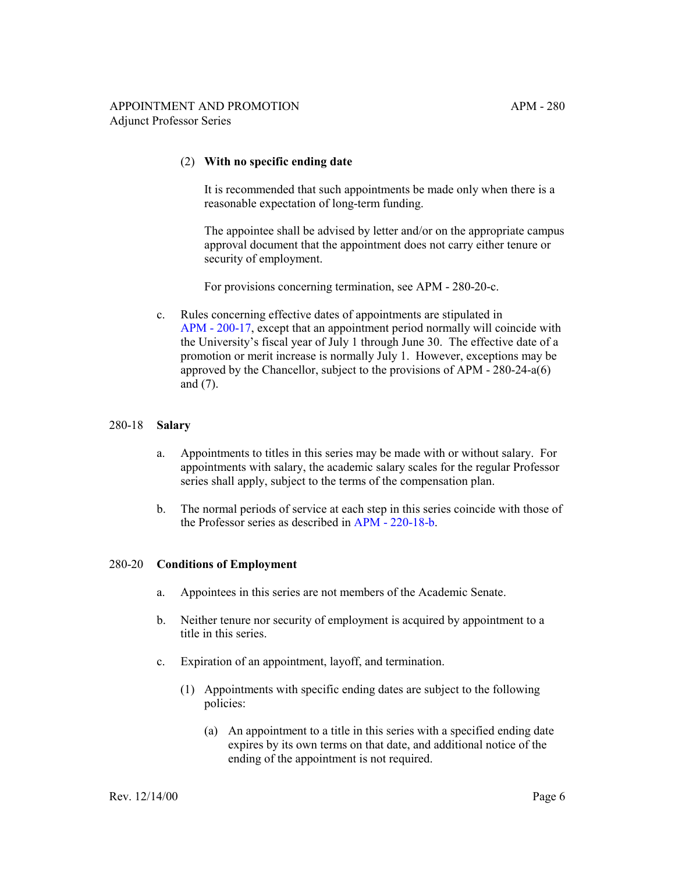#### (2) **With no specific ending date**

It is recommended that such appointments be made only when there is a reasonable expectation of long-term funding.

The appointee shall be advised by letter and/or on the appropriate campus approval document that the appointment does not carry either tenure or security of employment.

For provisions concerning termination, see APM - 280-20-c.

c. Rules concerning effective dates of appointments are stipulated in [APM - 200-17,](http://ucop.edu/academic-personnel-programs/_files/apm/apm-200.pdf) except that an appointment period normally will coincide with the University's fiscal year of July 1 through June 30. The effective date of a promotion or merit increase is normally July 1. However, exceptions may be approved by the Chancellor, subject to the provisions of APM - 280-24-a(6) and (7).

#### 280-18 **Salary**

- a. Appointments to titles in this series may be made with or without salary. For appointments with salary, the academic salary scales for the regular Professor series shall apply, subject to the terms of the compensation plan.
- b. The normal periods of service at each step in this series coincide with those of the Professor series as described in [APM - 220-18-b.](http://ucop.edu/academic-personnel-programs/_files/apm/apm-220.pdf)

## 280-20 **Conditions of Employment**

- a. Appointees in this series are not members of the Academic Senate.
- b. Neither tenure nor security of employment is acquired by appointment to a title in this series.
- c. Expiration of an appointment, layoff, and termination.
	- (1) Appointments with specific ending dates are subject to the following policies:
		- (a) An appointment to a title in this series with a specified ending date expires by its own terms on that date, and additional notice of the ending of the appointment is not required.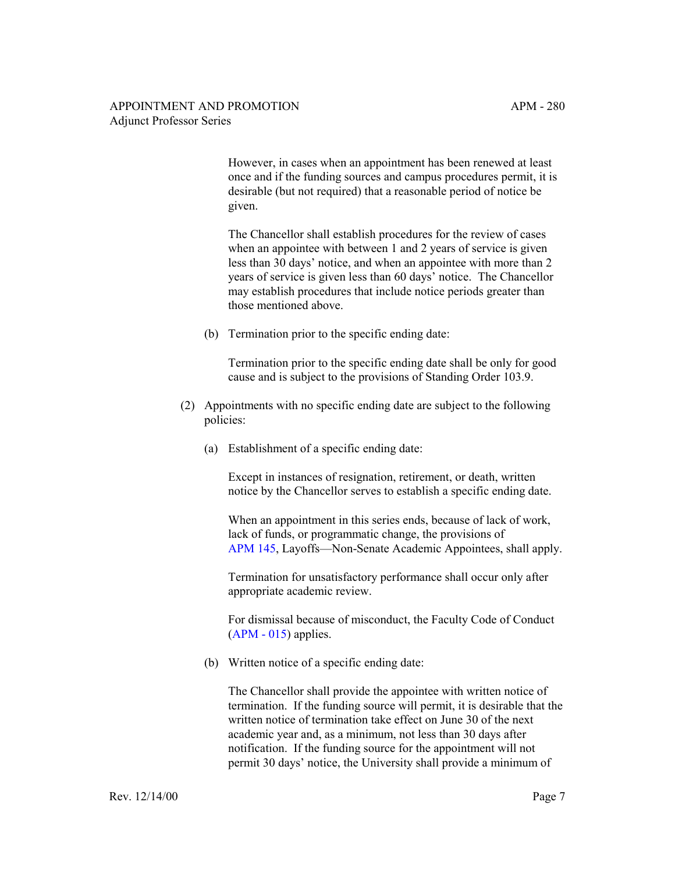However, in cases when an appointment has been renewed at least once and if the funding sources and campus procedures permit, it is desirable (but not required) that a reasonable period of notice be given.

The Chancellor shall establish procedures for the review of cases when an appointee with between 1 and 2 years of service is given less than 30 days' notice, and when an appointee with more than 2 years of service is given less than 60 days' notice. The Chancellor may establish procedures that include notice periods greater than those mentioned above.

(b) Termination prior to the specific ending date:

Termination prior to the specific ending date shall be only for good cause and is subject to the provisions of Standing Order 103.9.

- (2) Appointments with no specific ending date are subject to the following policies:
	- (a) Establishment of a specific ending date:

Except in instances of resignation, retirement, or death, written notice by the Chancellor serves to establish a specific ending date.

When an appointment in this series ends, because of lack of work, lack of funds, or programmatic change, the provisions of [APM 145,](http://ucop.edu/academic-personnel-programs/_files/apm/apm-145.pdf) Layoffs—Non-Senate Academic Appointees, shall apply.

Termination for unsatisfactory performance shall occur only after appropriate academic review.

For dismissal because of misconduct, the Faculty Code of Conduct  $(APM - 015)$  applies.

(b) Written notice of a specific ending date:

The Chancellor shall provide the appointee with written notice of termination. If the funding source will permit, it is desirable that the written notice of termination take effect on June 30 of the next academic year and, as a minimum, not less than 30 days after notification. If the funding source for the appointment will not permit 30 days' notice, the University shall provide a minimum of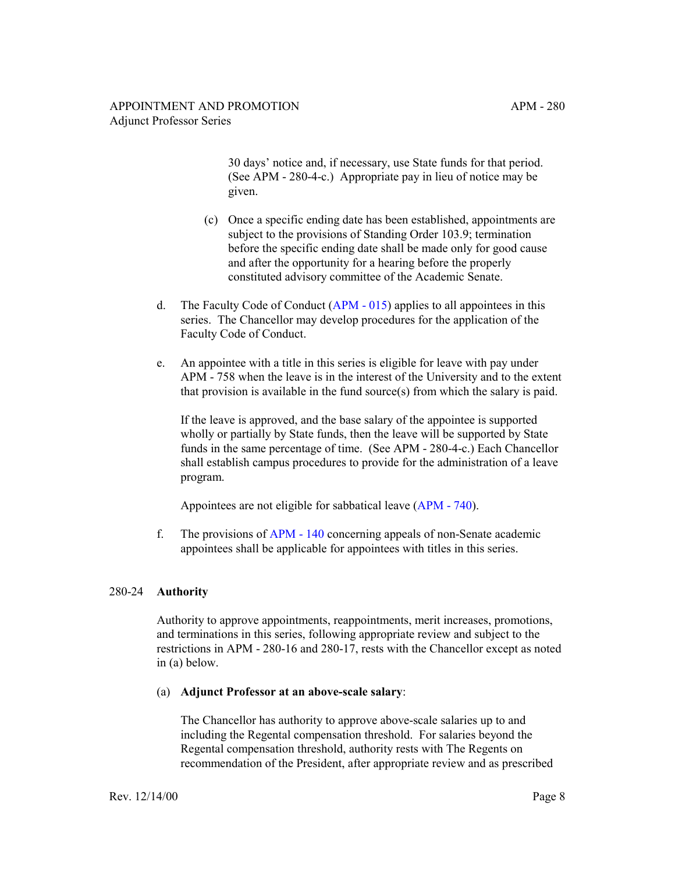30 days' notice and, if necessary, use State funds for that period. (See APM - 280-4-c.) Appropriate pay in lieu of notice may be given.

- (c) Once a specific ending date has been established, appointments are subject to the provisions of Standing Order 103.9; termination before the specific ending date shall be made only for good cause and after the opportunity for a hearing before the properly constituted advisory committee of the Academic Senate.
- d. The Faculty Code of Conduct [\(APM 015\)](http://ucop.edu/academic-personnel-programs/_files/apm/apm-015.pdf) applies to all appointees in this series. The Chancellor may develop procedures for the application of the Faculty Code of Conduct.
- e. An appointee with a title in this series is eligible for leave with pay under APM - 758 when the leave is in the interest of the University and to the extent that provision is available in the fund source(s) from which the salary is paid.

If the leave is approved, and the base salary of the appointee is supported wholly or partially by State funds, then the leave will be supported by State funds in the same percentage of time. (See APM - 280-4-c.) Each Chancellor shall establish campus procedures to provide for the administration of a leave program.

Appointees are not eligible for sabbatical leave [\(APM - 740\)](http://ucop.edu/academic-personnel-programs/_files/apm/apm-740.pdf).

f. The provisions of [APM - 140](http://ucop.edu/academic-personnel-programs/_files/apm/apm-140.pdf) concerning appeals of non-Senate academic appointees shall be applicable for appointees with titles in this series.

## 280-24 **Authority**

Authority to approve appointments, reappointments, merit increases, promotions, and terminations in this series, following appropriate review and subject to the restrictions in APM - 280-16 and 280-17, rests with the Chancellor except as noted in (a) below.

## (a) **Adjunct Professor at an above-scale salary**:

The Chancellor has authority to approve above-scale salaries up to and including the Regental compensation threshold. For salaries beyond the Regental compensation threshold, authority rests with The Regents on recommendation of the President, after appropriate review and as prescribed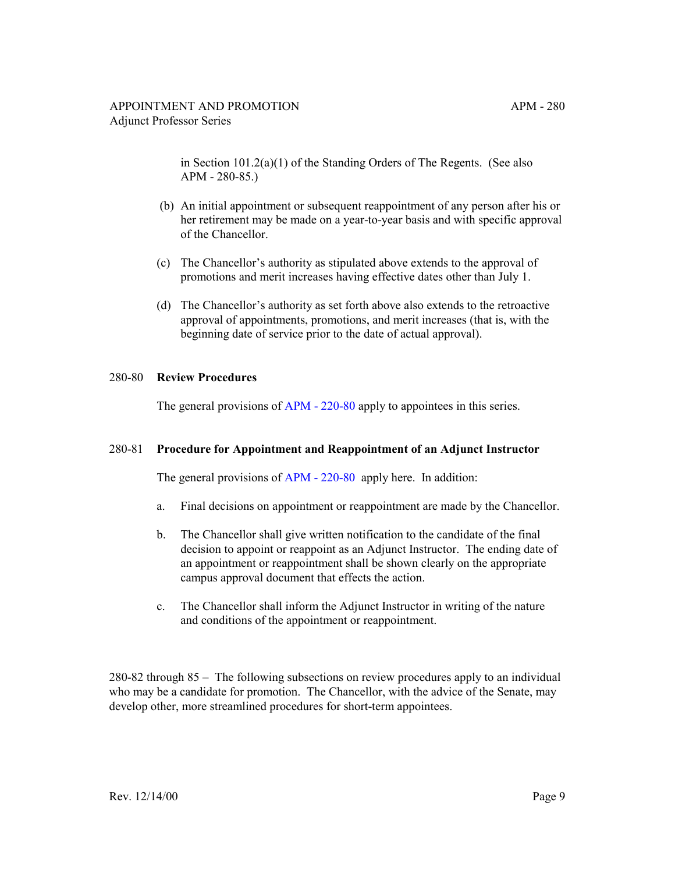in Section 101.2(a)(1) of the Standing Orders of The Regents. (See also APM - 280-85.)

- (b) An initial appointment or subsequent reappointment of any person after his or her retirement may be made on a year-to-year basis and with specific approval of the Chancellor.
- (c) The Chancellor's authority as stipulated above extends to the approval of promotions and merit increases having effective dates other than July 1.
- (d) The Chancellor's authority as set forth above also extends to the retroactive approval of appointments, promotions, and merit increases (that is, with the beginning date of service prior to the date of actual approval).

## 280-80 **Review Procedures**

The general provisions of [APM - 220-80](http://ucop.edu/academic-personnel-programs/_files/apm/apm-220.pdf) apply to appointees in this series.

## 280-81 **Procedure for Appointment and Reappointment of an Adjunct Instructor**

The general provisions of [APM - 220-80](http://ucop.edu/academic-personnel-programs/_files/apm/apm-220.pdf) apply here. In addition:

- a. Final decisions on appointment or reappointment are made by the Chancellor.
- b. The Chancellor shall give written notification to the candidate of the final decision to appoint or reappoint as an Adjunct Instructor. The ending date of an appointment or reappointment shall be shown clearly on the appropriate campus approval document that effects the action.
- c. The Chancellor shall inform the Adjunct Instructor in writing of the nature and conditions of the appointment or reappointment.

280-82 through 85 – The following subsections on review procedures apply to an individual who may be a candidate for promotion. The Chancellor, with the advice of the Senate, may develop other, more streamlined procedures for short-term appointees.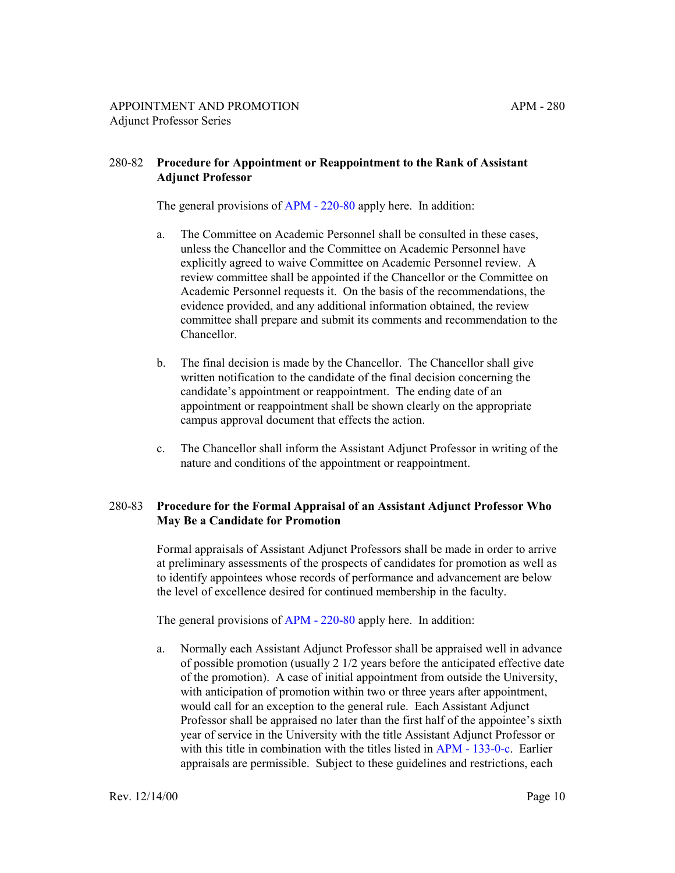## 280-82 **Procedure for Appointment or Reappointment to the Rank of Assistant Adjunct Professor**

The general provisions of [APM - 220-80](http://ucop.edu/academic-personnel-programs/_files/apm/apm-220.pdf) apply here. In addition:

- a. The Committee on Academic Personnel shall be consulted in these cases, unless the Chancellor and the Committee on Academic Personnel have explicitly agreed to waive Committee on Academic Personnel review. A review committee shall be appointed if the Chancellor or the Committee on Academic Personnel requests it. On the basis of the recommendations, the evidence provided, and any additional information obtained, the review committee shall prepare and submit its comments and recommendation to the Chancellor.
- b. The final decision is made by the Chancellor. The Chancellor shall give written notification to the candidate of the final decision concerning the candidate's appointment or reappointment. The ending date of an appointment or reappointment shall be shown clearly on the appropriate campus approval document that effects the action.
- c. The Chancellor shall inform the Assistant Adjunct Professor in writing of the nature and conditions of the appointment or reappointment.

# 280-83 **Procedure for the Formal Appraisal of an Assistant Adjunct Professor Who May Be a Candidate for Promotion**

Formal appraisals of Assistant Adjunct Professors shall be made in order to arrive at preliminary assessments of the prospects of candidates for promotion as well as to identify appointees whose records of performance and advancement are below the level of excellence desired for continued membership in the faculty.

The general provisions of [APM - 220-80](http://ucop.edu/academic-personnel-programs/_files/apm/apm-220.pdf) apply here. In addition:

a. Normally each Assistant Adjunct Professor shall be appraised well in advance of possible promotion (usually 2 1/2 years before the anticipated effective date of the promotion). A case of initial appointment from outside the University, with anticipation of promotion within two or three years after appointment, would call for an exception to the general rule. Each Assistant Adjunct Professor shall be appraised no later than the first half of the appointee's sixth year of service in the University with the title Assistant Adjunct Professor or with this title in combination with the titles listed in [APM - 133-0-c](http://ucop.edu/academic-personnel-programs/_files/apm/apm-133.pdf). Earlier appraisals are permissible. Subject to these guidelines and restrictions, each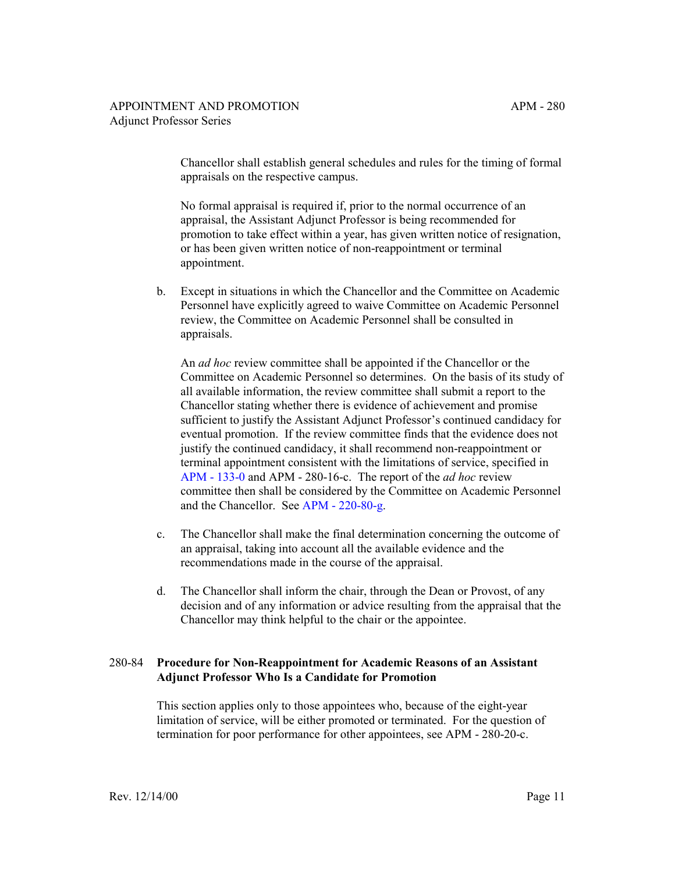Chancellor shall establish general schedules and rules for the timing of formal appraisals on the respective campus.

No formal appraisal is required if, prior to the normal occurrence of an appraisal, the Assistant Adjunct Professor is being recommended for promotion to take effect within a year, has given written notice of resignation, or has been given written notice of non-reappointment or terminal appointment.

b. Except in situations in which the Chancellor and the Committee on Academic Personnel have explicitly agreed to waive Committee on Academic Personnel review, the Committee on Academic Personnel shall be consulted in appraisals.

An *ad hoc* review committee shall be appointed if the Chancellor or the Committee on Academic Personnel so determines. On the basis of its study of all available information, the review committee shall submit a report to the Chancellor stating whether there is evidence of achievement and promise sufficient to justify the Assistant Adjunct Professor's continued candidacy for eventual promotion. If the review committee finds that the evidence does not justify the continued candidacy, it shall recommend non-reappointment or terminal appointment consistent with the limitations of service, specified in [APM - 133-0](http://ucop.edu/academic-personnel-programs/_files/apm/apm-133.pdf) and APM - 280-16-c. The report of the *ad hoc* review committee then shall be considered by the Committee on Academic Personnel and the Chancellor. See [APM - 220-80-g](http://ucop.edu/academic-personnel-programs/_files/apm/apm-220.pdf).

- c. The Chancellor shall make the final determination concerning the outcome of an appraisal, taking into account all the available evidence and the recommendations made in the course of the appraisal.
- d. The Chancellor shall inform the chair, through the Dean or Provost, of any decision and of any information or advice resulting from the appraisal that the Chancellor may think helpful to the chair or the appointee.

# 280-84 **Procedure for Non-Reappointment for Academic Reasons of an Assistant Adjunct Professor Who Is a Candidate for Promotion**

This section applies only to those appointees who, because of the eight-year limitation of service, will be either promoted or terminated. For the question of termination for poor performance for other appointees, see APM - 280-20-c.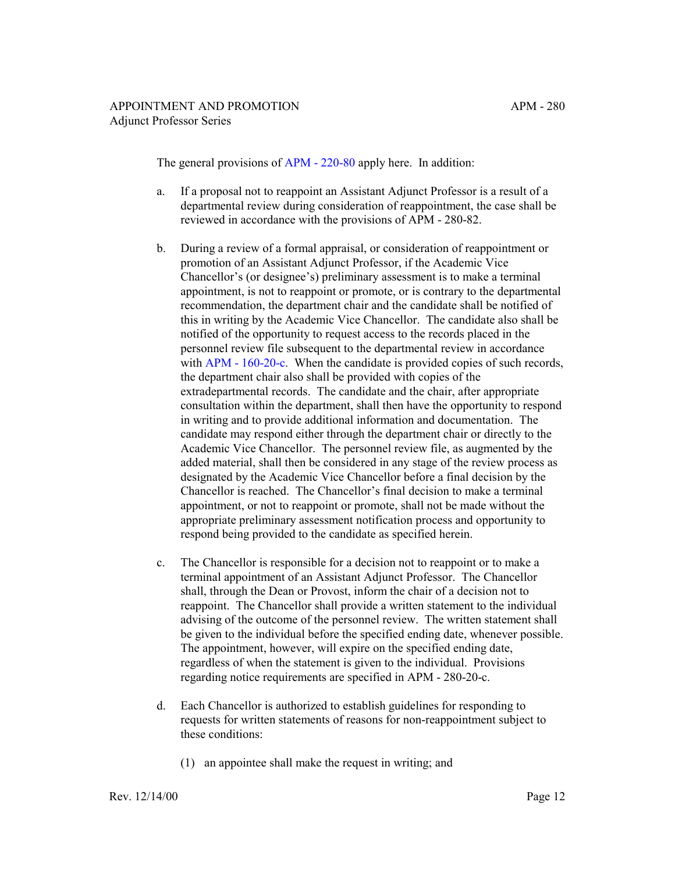The general provisions of [APM - 220-80](http://ucop.edu/academic-personnel-programs/_files/apm/apm-220.pdf) apply here. In addition:

- a. If a proposal not to reappoint an Assistant Adjunct Professor is a result of a departmental review during consideration of reappointment, the case shall be reviewed in accordance with the provisions of APM - 280-82.
- b. During a review of a formal appraisal, or consideration of reappointment or promotion of an Assistant Adjunct Professor, if the Academic Vice Chancellor's (or designee's) preliminary assessment is to make a terminal appointment, is not to reappoint or promote, or is contrary to the departmental recommendation, the department chair and the candidate shall be notified of this in writing by the Academic Vice Chancellor. The candidate also shall be notified of the opportunity to request access to the records placed in the personnel review file subsequent to the departmental review in accordance with [APM - 160-20-c.](http://ucop.edu/academic-personnel-programs/_files/apm/apm-160.pdf) When the candidate is provided copies of such records, the department chair also shall be provided with copies of the extradepartmental records. The candidate and the chair, after appropriate consultation within the department, shall then have the opportunity to respond in writing and to provide additional information and documentation. The candidate may respond either through the department chair or directly to the Academic Vice Chancellor. The personnel review file, as augmented by the added material, shall then be considered in any stage of the review process as designated by the Academic Vice Chancellor before a final decision by the Chancellor is reached. The Chancellor's final decision to make a terminal appointment, or not to reappoint or promote, shall not be made without the appropriate preliminary assessment notification process and opportunity to respond being provided to the candidate as specified herein.
- c. The Chancellor is responsible for a decision not to reappoint or to make a terminal appointment of an Assistant Adjunct Professor. The Chancellor shall, through the Dean or Provost, inform the chair of a decision not to reappoint. The Chancellor shall provide a written statement to the individual advising of the outcome of the personnel review. The written statement shall be given to the individual before the specified ending date, whenever possible. The appointment, however, will expire on the specified ending date, regardless of when the statement is given to the individual. Provisions regarding notice requirements are specified in APM - 280-20-c.
- d. Each Chancellor is authorized to establish guidelines for responding to requests for written statements of reasons for non-reappointment subject to these conditions:
	- (1) an appointee shall make the request in writing; and